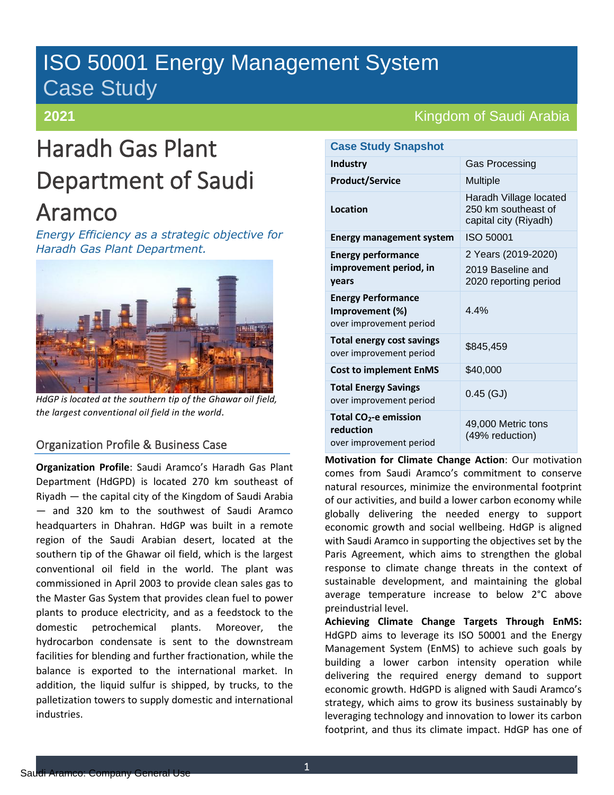# ISO 50001 Energy Management System Case Study

### **2021**

# Haradh Gas Plant Department of Saudi Aramco

*Energy Efficiency as a strategic objective for Haradh Gas Plant Department.*



*HdGP is located at the southern tip of the Ghawar oil field, the largest conventional oil field in the world.*

### Organization Profile & Business Case

**Organization Profile**: Saudi Aramco's Haradh Gas Plant Department (HdGPD) is located 270 km southeast of Riyadh — the capital city of the Kingdom of Saudi Arabia — and 320 km to the southwest of Saudi Aramco headquarters in Dhahran. HdGP was built in a remote region of the Saudi Arabian desert, located at the southern tip of the Ghawar oil field, which is the largest conventional oil field in the world. The plant was commissioned in April 2003 to provide clean sales gas to the Master Gas System that provides clean fuel to power plants to produce electricity, and as a feedstock to the domestic petrochemical plants. Moreover, the hydrocarbon condensate is sent to the downstream facilities for blending and further fractionation, while the balance is exported to the international market. In addition, the liquid sulfur is shipped, by trucks, to the palletization towers to supply domestic and international industries.

## Kingdom of Saudi Arabia

| <b>Case Study Snapshot</b>                                                |                                                                        |
|---------------------------------------------------------------------------|------------------------------------------------------------------------|
| Industry                                                                  | <b>Gas Processing</b>                                                  |
| <b>Product/Service</b>                                                    | <b>Multiple</b>                                                        |
| Location                                                                  | Haradh Village located<br>250 km southeast of<br>capital city (Riyadh) |
| <b>Energy management system</b>                                           | <b>ISO 50001</b>                                                       |
| <b>Energy performance</b><br>improvement period, in<br>vears              | 2 Years (2019-2020)<br>2019 Baseline and<br>2020 reporting period      |
| <b>Energy Performance</b><br>Improvement (%)<br>over improvement period   | 4 4%                                                                   |
| <b>Total energy cost savings</b><br>over improvement period               | \$845,459                                                              |
| <b>Cost to implement EnMS</b>                                             | \$40,000                                                               |
| <b>Total Energy Savings</b><br>over improvement period                    | $0.45$ (GJ)                                                            |
| Total CO <sub>2</sub> -e emission<br>reduction<br>over improvement period | 49,000 Metric tons<br>(49% reduction)                                  |

**Motivation for Climate Change Action**: Our motivation comes from Saudi Aramco's commitment to conserve natural resources, minimize the environmental footprint of our activities, and build a lower carbon economy while globally delivering the needed energy to support economic growth and social wellbeing. HdGP is aligned with Saudi Aramco in supporting the objectives set by the Paris Agreement, which aims to strengthen the global response to climate change threats in the context of sustainable development, and maintaining the global average temperature increase to below 2°C above preindustrial level.

**Achieving Climate Change Targets Through EnMS:** HdGPD aims to leverage its ISO 50001 and the Energy Management System (EnMS) to achieve such goals by building a lower carbon intensity operation while delivering the required energy demand to support economic growth. HdGPD is aligned with Saudi Aramco's strategy, which aims to grow its business sustainably by leveraging technology and innovation to lower its carbon footprint, and thus its climate impact. HdGP has one of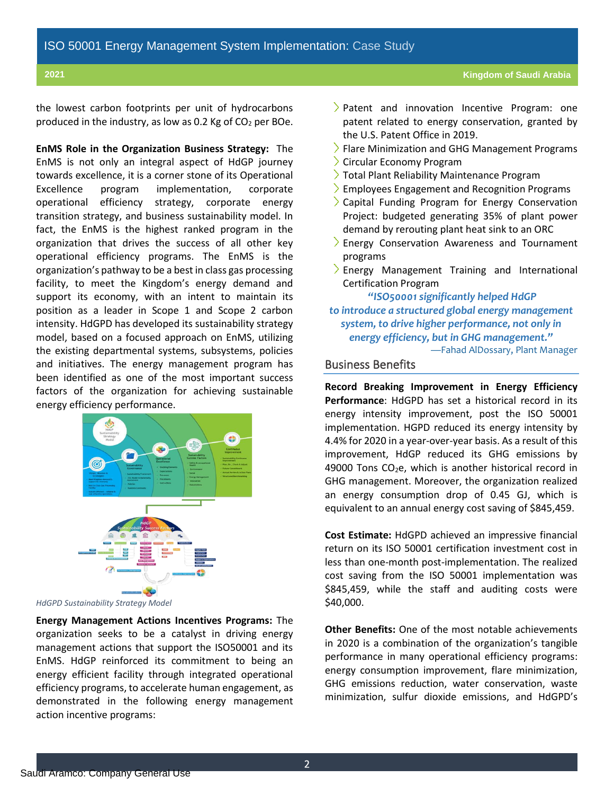the lowest carbon footprints per unit of hydrocarbons produced in the industry, as low as 0.2 Kg of  $CO<sub>2</sub>$  per BOe.

**EnMS Role in the Organization Business Strategy:** The EnMS is not only an integral aspect of HdGP journey towards excellence, it is a corner stone of its Operational Excellence program implementation, corporate operational efficiency strategy, corporate energy transition strategy, and business sustainability model. In fact, the EnMS is the highest ranked program in the organization that drives the success of all other key operational efficiency programs. The EnMS is the organization's pathway to be a best in class gas processing facility, to meet the Kingdom's energy demand and support its economy, with an intent to maintain its position as a leader in Scope 1 and Scope 2 carbon intensity. HdGPD has developed its sustainability strategy model, based on a focused approach on EnMS, utilizing the existing departmental systems, subsystems, policies and initiatives. The energy management program has been identified as one of the most important success factors of the organization for achieving sustainable energy efficiency performance.



*HdGPD Sustainability Strategy Model*

**Energy Management Actions Incentives Programs:** The organization seeks to be a catalyst in driving energy management actions that support the ISO50001 and its EnMS. HdGP reinforced its commitment to being an energy efficient facility through integrated operational efficiency programs, to accelerate human engagement, as demonstrated in the following energy management action incentive programs:

- Patent and innovation Incentive Program: one patent related to energy conservation, granted by the U.S. Patent Office in 2019.
- $\geq$  Flare Minimization and GHG Management Programs
- Circular Economy Program
- Total Plant Reliability Maintenance Program
- $\geq$  Employees Engagement and Recognition Programs
- Capital Funding Program for Energy Conservation Project: budgeted generating 35% of plant power demand by rerouting plant heat sink to an ORC
- Energy Conservation Awareness and Tournament programs
- Energy Management Training and International Certification Program

*"ISO50001 significantly helped HdGP to introduce a structured global energy management system, to drive higher performance, not only in energy efficiency, but in GHG management."* —Fahad AlDossary, Plant Manager

#### Business Benefits

**Record Breaking Improvement in Energy Efficiency Performance**: HdGPD has set a historical record in its energy intensity improvement, post the ISO 50001 implementation. HGPD reduced its energy intensity by 4.4% for 2020 in a year-over-year basis. As a result of this improvement, HdGP reduced its GHG emissions by 49000 Tons  $CO<sub>2</sub>e$ , which is another historical record in GHG management. Moreover, the organization realized an energy consumption drop of 0.45 GJ, which is equivalent to an annual energy cost saving of \$845,459.

**Cost Estimate:** HdGPD achieved an impressive financial return on its ISO 50001 certification investment cost in less than one-month post-implementation. The realized cost saving from the ISO 50001 implementation was \$845,459, while the staff and auditing costs were \$40,000.

**Other Benefits:** One of the most notable achievements in 2020 is a combination of the organization's tangible performance in many operational efficiency programs: energy consumption improvement, flare minimization, GHG emissions reduction, water conservation, waste minimization, sulfur dioxide emissions, and HdGPD's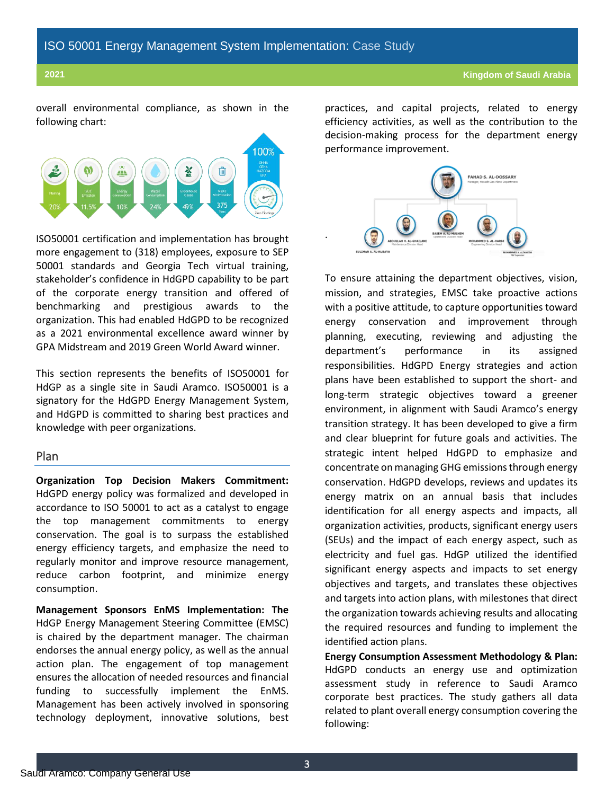overall environmental compliance, as shown in the following chart:



ISO50001 certification and implementation has brought more engagement to (318) employees, exposure to SEP 50001 standards and Georgia Tech virtual training, stakeholder's confidence in HdGPD capability to be part of the corporate energy transition and offered of benchmarking and prestigious awards to the organization. This had enabled HdGPD to be recognized as a 2021 environmental excellence award winner by GPA Midstream and 2019 Green World Award winner.

This section represents the benefits of ISO50001 for HdGP as a single site in Saudi Aramco. ISO50001 is a signatory for the HdGPD Energy Management System, and HdGPD is committed to sharing best practices and knowledge with peer organizations.

#### Plan

**Organization Top Decision Makers Commitment:** HdGPD energy policy was formalized and developed in accordance to ISO 50001 to act as a catalyst to engage the top management commitments to energy conservation. The goal is to surpass the established energy efficiency targets, and emphasize the need to regularly monitor and improve resource management, reduce carbon footprint, and minimize energy consumption.

**Management Sponsors EnMS Implementation: The**  HdGP Energy Management Steering Committee (EMSC) is chaired by the department manager. The chairman endorses the annual energy policy, as well as the annual action plan. The engagement of top management ensures the allocation of needed resources and financial funding to successfully implement the EnMS. Management has been actively involved in sponsoring technology deployment, innovative solutions, best practices, and capital projects, related to energy efficiency activities, as well as the contribution to the decision-making process for the department energy performance improvement.



.

To ensure attaining the department objectives, vision, mission, and strategies, EMSC take proactive actions with a positive attitude, to capture opportunities toward energy conservation and improvement through planning, executing, reviewing and adjusting the department's performance in its assigned responsibilities. HdGPD Energy strategies and action plans have been established to support the short- and long-term strategic objectives toward a greener environment, in alignment with Saudi Aramco's energy transition strategy. It has been developed to give a firm and clear blueprint for future goals and activities. The strategic intent helped HdGPD to emphasize and concentrate on managing GHG emissions through energy conservation. HdGPD develops, reviews and updates its energy matrix on an annual basis that includes identification for all energy aspects and impacts, all organization activities, products, significant energy users (SEUs) and the impact of each energy aspect, such as electricity and fuel gas. HdGP utilized the identified significant energy aspects and impacts to set energy objectives and targets, and translates these objectives and targets into action plans, with milestones that direct the organization towards achieving results and allocating the required resources and funding to implement the identified action plans.

**Energy Consumption Assessment Methodology & Plan:** HdGPD conducts an energy use and optimization assessment study in reference to Saudi Aramco corporate best practices. The study gathers all data related to plant overall energy consumption covering the following: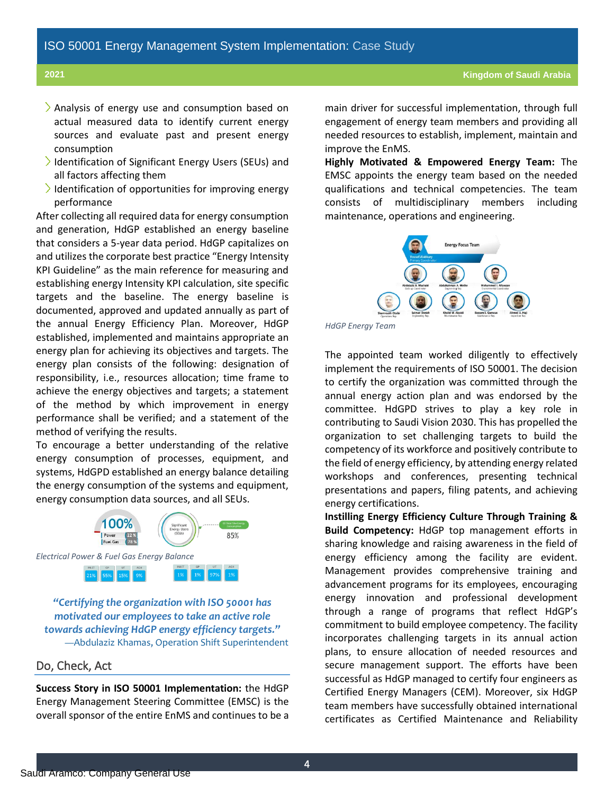- $\lambda$  Analysis of energy use and consumption based on actual measured data to identify current energy sources and evaluate past and present energy consumption
- Identification of Significant Energy Users (SEUs) and all factors affecting them
- $\overline{\phantom{a}}$  Identification of opportunities for improving energy performance

After collecting all required data for energy consumption and generation, HdGP established an energy baseline that considers a 5-year data period. HdGP capitalizes on and utilizes the corporate best practice "Energy Intensity KPI Guideline" as the main reference for measuring and establishing energy Intensity KPI calculation, site specific targets and the baseline. The energy baseline is documented, approved and updated annually as part of the annual Energy Efficiency Plan. Moreover, HdGP established, implemented and maintains appropriate an energy plan for achieving its objectives and targets. The energy plan consists of the following: designation of responsibility, i.e., resources allocation; time frame to achieve the energy objectives and targets; a statement of the method by which improvement in energy performance shall be verified; and a statement of the method of verifying the results.

To encourage a better understanding of the relative energy consumption of processes, equipment, and systems, HdGPD established an energy balance detailing the energy consumption of the systems and equipment, energy consumption data sources, and all SEUs.



*"Certifying the organization with ISO 50001 has motivated our employees to take an active role towards achieving HdGP energy efficiency targets."* —Abdulaziz Khamas, Operation Shift Superintendent

#### Do, Check, Act

**Success Story in ISO 50001 Implementation:** the HdGP Energy Management Steering Committee (EMSC) is the overall sponsor of the entire EnMS and continues to be a main driver for successful implementation, through full engagement of energy team members and providing all needed resources to establish, implement, maintain and improve the EnMS.

**Highly Motivated & Empowered Energy Team:** The EMSC appoints the energy team based on the needed qualifications and technical competencies. The team consists of multidisciplinary members including maintenance, operations and engineering.



*HdGP Energy Team*

The appointed team worked diligently to effectively implement the requirements of ISO 50001. The decision to certify the organization was committed through the annual energy action plan and was endorsed by the committee. HdGPD strives to play a key role in contributing to Saudi Vision 2030. This has propelled the organization to set challenging targets to build the competency of its workforce and positively contribute to the field of energy efficiency, by attending energy related workshops and conferences, presenting technical presentations and papers, filing patents, and achieving energy certifications.

**Instilling Energy Efficiency Culture Through Training & Build Competency:** HdGP top management efforts in sharing knowledge and raising awareness in the field of energy efficiency among the facility are evident. Management provides comprehensive training and advancement programs for its employees, encouraging energy innovation and professional development through a range of programs that reflect HdGP's commitment to build employee competency. The facility incorporates challenging targets in its annual action plans, to ensure allocation of needed resources and secure management support. The efforts have been successful as HdGP managed to certify four engineers as Certified Energy Managers (CEM). Moreover, six HdGP team members have successfully obtained international certificates as Certified Maintenance and Reliability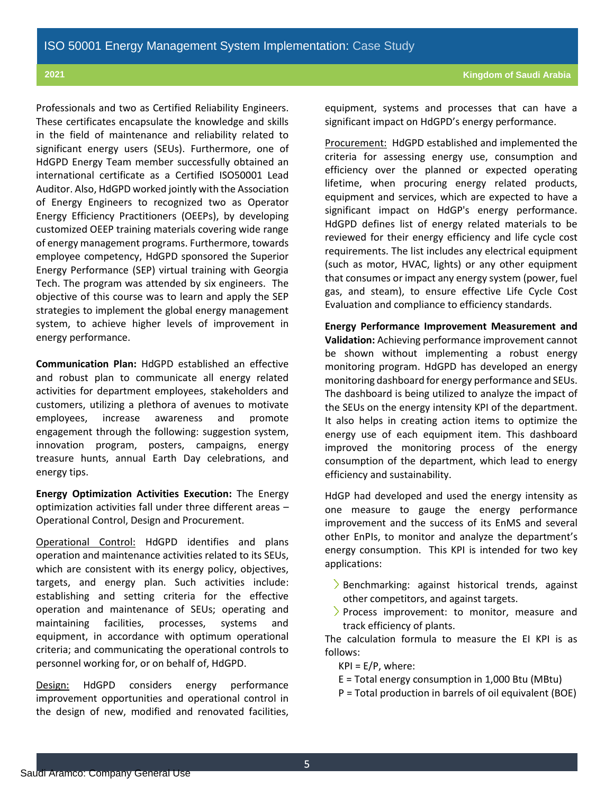Professionals and two as Certified Reliability Engineers. These certificates encapsulate the knowledge and skills in the field of maintenance and reliability related to significant energy users (SEUs). Furthermore, one of HdGPD Energy Team member successfully obtained an international certificate as a Certified ISO50001 Lead Auditor. Also, HdGPD worked jointly with the Association of Energy Engineers to recognized two as Operator Energy Efficiency Practitioners (OEEPs), by developing customized OEEP training materials covering wide range of energy management programs. Furthermore, towards employee competency, HdGPD sponsored the Superior Energy Performance (SEP) virtual training with Georgia Tech. The program was attended by six engineers. The objective of this course was to learn and apply the SEP strategies to implement the global energy management system, to achieve higher levels of improvement in energy performance.

**Communication Plan:** HdGPD established an effective and robust plan to communicate all energy related activities for department employees, stakeholders and customers, utilizing a plethora of avenues to motivate employees, increase awareness and promote engagement through the following: suggestion system, innovation program, posters, campaigns, energy treasure hunts, annual Earth Day celebrations, and energy tips.

**Energy Optimization Activities Execution:** The Energy optimization activities fall under three different areas – Operational Control, Design and Procurement.

Operational Control: HdGPD identifies and plans operation and maintenance activities related to its SEUs, which are consistent with its energy policy, objectives, targets, and energy plan. Such activities include: establishing and setting criteria for the effective operation and maintenance of SEUs; operating and maintaining facilities, processes, systems and equipment, in accordance with optimum operational criteria; and communicating the operational controls to personnel working for, or on behalf of, HdGPD.

Design: HdGPD considers energy performance improvement opportunities and operational control in the design of new, modified and renovated facilities, equipment, systems and processes that can have a significant impact on HdGPD's energy performance.

Procurement: HdGPD established and implemented the criteria for assessing energy use, consumption and efficiency over the planned or expected operating lifetime, when procuring energy related products, equipment and services, which are expected to have a significant impact on HdGP's energy performance. HdGPD defines list of energy related materials to be reviewed for their energy efficiency and life cycle cost requirements. The list includes any electrical equipment (such as motor, HVAC, lights) or any other equipment that consumes or impact any energy system (power, fuel gas, and steam), to ensure effective Life Cycle Cost Evaluation and compliance to efficiency standards.

**Energy Performance Improvement Measurement and Validation:** Achieving performance improvement cannot be shown without implementing a robust energy monitoring program. HdGPD has developed an energy monitoring dashboard for energy performance and SEUs. The dashboard is being utilized to analyze the impact of the SEUs on the energy intensity KPI of the department. It also helps in creating action items to optimize the energy use of each equipment item. This dashboard improved the monitoring process of the energy consumption of the department, which lead to energy efficiency and sustainability.

HdGP had developed and used the energy intensity as one measure to gauge the energy performance improvement and the success of its EnMS and several other EnPIs, to monitor and analyze the department's energy consumption. This KPI is intended for two key applications:

- $\geq$  Benchmarking: against historical trends, against other competitors, and against targets.
- > Process improvement: to monitor, measure and track efficiency of plants.

The calculation formula to measure the EI KPI is as follows:

 $KPI = E/P$ , where:

- E = Total energy consumption in 1,000 Btu (MBtu)
- P = Total production in barrels of oil equivalent (BOE)